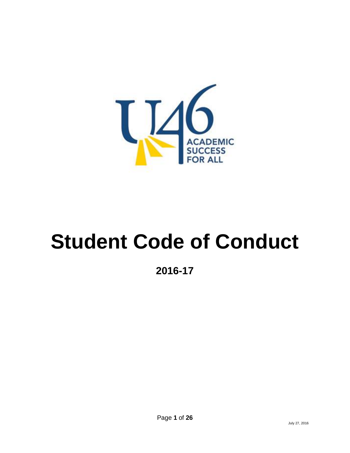

# **Student Code of Conduct**

**2016-17**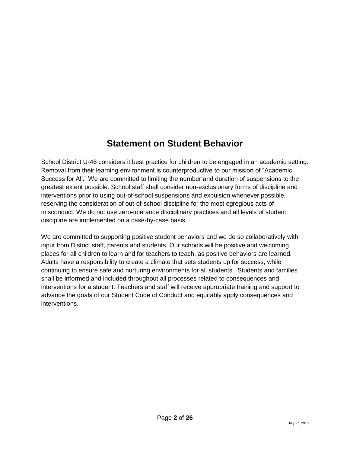# **Statement on Student Behavior**

School District U-46 considers it best practice for children to be engaged in an academic setting. Removal from their learning environment is counterproductive to our mission of "Academic Success for All." We are committed to limiting the number and duration of suspensions to the greatest extent possible. School staff shall consider non-exclusionary forms of discipline and interventions prior to using out-of-school suspensions and expulsion whenever possible, reserving the consideration of out-of-school discipline for the most egregious acts of misconduct. We do not use zero-tolerance disciplinary practices and all levels of student discipline are implemented on a case-by-case basis.

We are committed to supporting positive student behaviors and we do so collaboratively with input from District staff, parents and students. Our schools will be positive and welcoming places for all children to learn and for teachers to teach, as positive behaviors are learned. Adults have a responsibility to create a climate that sets students up for success, while continuing to ensure safe and nurturing environments for all students. Students and families shall be informed and included throughout all processes related to consequences and interventions for a student. Teachers and staff will receive appropriate training and support to advance the goals of our Student Code of Conduct and equitably apply consequences and interventions.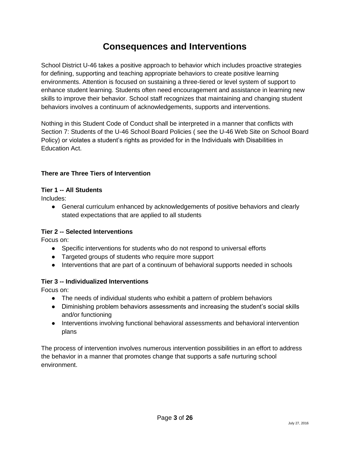## **Consequences and Interventions**

School District U-46 takes a positive approach to behavior which includes proactive strategies for defining, supporting and teaching appropriate behaviors to create positive learning environments. Attention is focused on sustaining a three-tiered or level system of support to enhance student learning. Students often need encouragement and assistance in learning new skills to improve their behavior. School staff recognizes that maintaining and changing student behaviors involves a continuum of acknowledgements, supports and interventions.

Nothing in this Student Code of Conduct shall be interpreted in a manner that conflicts with Section 7: Students of the U-46 School Board Policies ( see the U-46 Web Site on School Board Policy) or violates a student's rights as provided for in the Individuals with Disabilities in Education Act.

#### **There are Three Tiers of Intervention**

#### **Tier 1 -- All Students**

Includes:

● General curriculum enhanced by acknowledgements of positive behaviors and clearly stated expectations that are applied to all students

#### **Tier 2 -- Selected Interventions**

Focus on:

- Specific interventions for students who do not respond to universal efforts
- Targeted groups of students who require more support
- Interventions that are part of a continuum of behavioral supports needed in schools

#### **Tier 3 -- Individualized Interventions**

Focus on:

- The needs of individual students who exhibit a pattern of problem behaviors
- Diminishing problem behaviors assessments and increasing the student's social skills and/or functioning
- Interventions involving functional behavioral assessments and behavioral intervention plans

The process of intervention involves numerous intervention possibilities in an effort to address the behavior in a manner that promotes change that supports a safe nurturing school environment.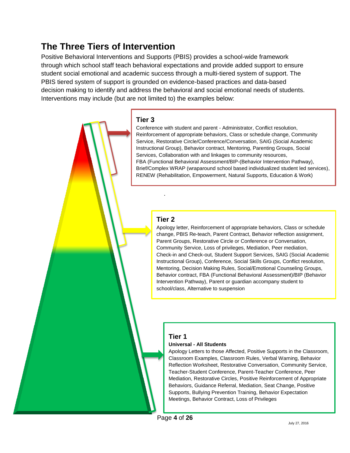# **The Three Tiers of Intervention**

Positive Behavioral Interventions and Supports (PBIS) provides a school-wide framework through which school staff teach behavioral expectations and provide added support to ensure student social emotional and academic success through a multi-tiered system of support. The PBIS tiered system of support is grounded on evidence-based practices and data-based decision making to identify and address the behavioral and social emotional needs of students. Interventions may include (but are not limited to) the examples below:

#### **Tier 3**

Conference with student and parent - Administrator, Conflict resolution, Reinforcement of appropriate behaviors, Class or schedule change, Community Service, Restorative Circle/Conference/Conversation, SAIG (Social Academic Instructional Group), Behavior contract, Mentoring, Parenting Groups, Social Services, Collaboration with and linkages to community resources, FBA (Functional Behavioral Assessment/BIP-(Behavior Intervention Pathway), Brief/Complex WRAP (wraparound school based individualized student led services), RENEW (Rehabilitation, Empowerment, Natural Supports, Education & Work)

#### **Tier 2**

.

Apology letter, Reinforcement of appropriate behaviors, Class or schedule change, PBIS Re-teach, Parent Contract, Behavior reflection assignment, Parent Groups, Restorative Circle or Conference or Conversation, Community Service, Loss of privileges, Mediation, Peer mediation, Check-in and Check-out, Student Support Services, SAIG (Social Academic Instructional Group), Conference, Social Skills Groups, Conflict resolution, Mentoring, Decision Making Rules, Social/Emotional Counseling Groups, Behavior contract, FBA (Functional Behavioral Assessment)/BIP (Behavior Intervention Pathway), Parent or guardian accompany student to school/class, Alternative to suspension

#### **Tier 1**

#### **Universal - All Students**

Apology Letters to those Affected, Positive Supports in the Classroom, Classroom Examples, Classroom Rules, Verbal Warning, Behavior Reflection Worksheet, Restorative Conversation, Community Service, Teacher-Student Conference, Parent-Teacher Conference, Peer Mediation, Restorative Circles, Positive Reinforcement of Appropriate Behaviors, Guidance Referral, Mediation, Seat Change, Positive Supports, Bullying Prevention Training, Behavior Expectation Meetings, Behavior Contract, Loss of Privileges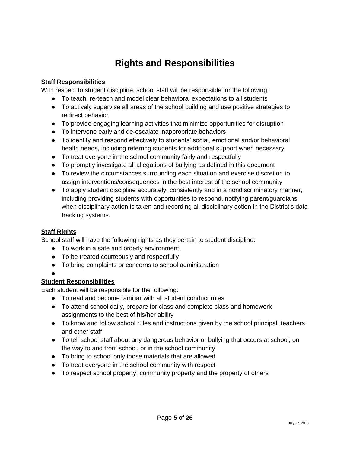# **Rights and Responsibilities**

#### **Staff Responsibilities**

With respect to student discipline, school staff will be responsible for the following:

- To teach, re-teach and model clear behavioral expectations to all students
- To actively supervise all areas of the school building and use positive strategies to redirect behavior
- To provide engaging learning activities that minimize opportunities for disruption
- To intervene early and de-escalate inappropriate behaviors
- To identify and respond effectively to students' social, emotional and/or behavioral health needs, including referring students for additional support when necessary
- To treat everyone in the school community fairly and respectfully
- To promptly investigate all allegations of bullying as defined in this document
- To review the circumstances surrounding each situation and exercise discretion to assign interventions/consequences in the best interest of the school community
- To apply student discipline accurately, consistently and in a nondiscriminatory manner, including providing students with opportunities to respond, notifying parent/guardians when disciplinary action is taken and recording all disciplinary action in the District's data tracking systems.

#### **Staff Rights**

School staff will have the following rights as they pertain to student discipline:

- To work in a safe and orderly environment
- To be treated courteously and respectfully
- To bring complaints or concerns to school administration
- ●

#### **Student Responsibilities**

Each student will be responsible for the following:

- To read and become familiar with all student conduct rules
- To attend school daily, prepare for class and complete class and homework assignments to the best of his/her ability
- To know and follow school rules and instructions given by the school principal, teachers and other staff
- To tell school staff about any dangerous behavior or bullying that occurs at school, on the way to and from school, or in the school community
- To bring to school only those materials that are allowed
- To treat everyone in the school community with respect
- To respect school property, community property and the property of others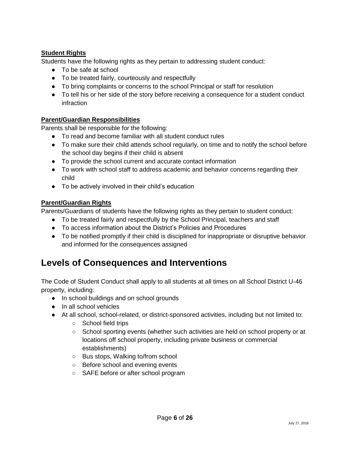#### **Student Rights**

Students have the following rights as they pertain to addressing student conduct:

- To be safe at school
- To be treated fairly, courteously and respectfully
- To bring complaints or concerns to the school Principal or staff for resolution
- To tell his or her side of the story before receiving a consequence for a student conduct infraction

#### **Parent/Guardian Responsibilities**

Parents shall be responsible for the following:

- To read and become familiar with all student conduct rules
- To make sure their child attends school regularly, on time and to notify the school before the school day begins if their child is absent
- To provide the school current and accurate contact information
- To work with school staff to address academic and behavior concerns regarding their child
- To be actively involved in their child's education

#### **Parent/Guardian Rights**

Parents/Guardians of students have the following rights as they pertain to student conduct:

- To be treated fairly and respectfully by the School Principal, teachers and staff
- To access information about the District's Policies and Procedures
- To be notified promptly if their child is disciplined for inappropriate or disruptive behavior and informed for the consequences assigned

## **Levels of Consequences and Interventions**

The Code of Student Conduct shall apply to all students at all times on all School District U-46 property, including:

- In school buildings and on school grounds
- In all school vehicles
- At all school, school-related, or district-sponsored activities, including but not limited to:
	- School field trips
	- School sporting events (whether such activities are held on school property or at locations off school property, including private business or commercial establishments)
	- Bus stops, Walking to/from school
	- Before school and evening events
	- SAFE before or after school program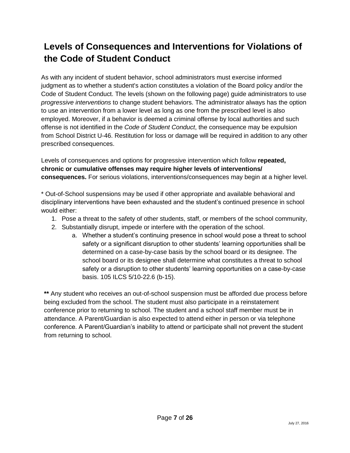# **Levels of Consequences and Interventions for Violations of the Code of Student Conduct**

As with any incident of student behavior, school administrators must exercise informed judgment as to whether a student's action constitutes a violation of the Board policy and/or the Code of Student Conduct. The levels (shown on the following page) guide administrators to use *progressive interventions* to change student behaviors. The administrator always has the option to use an intervention from a lower level as long as one from the prescribed level is also employed. Moreover, if a behavior is deemed a criminal offense by local authorities and such offense is not identified in the *Code of Student Conduct*, the consequence may be expulsion from School District U-46. Restitution for loss or damage will be required in addition to any other prescribed consequences.

Levels of consequences and options for progressive intervention which follow **repeated, chronic or cumulative offenses may require higher levels of interventions/ consequences.** For serious violations, interventions/consequences may begin at a higher level.

\* Out-of-School suspensions may be used if other appropriate and available behavioral and disciplinary interventions have been exhausted and the student's continued presence in school would either:

- 1. Pose a threat to the safety of other students, staff, or members of the school community,
- 2. Substantially disrupt, impede or interfere with the operation of the school.
	- a. Whether a student's continuing presence in school would pose a threat to school safety or a significant disruption to other students' learning opportunities shall be determined on a case-by-case basis by the school board or its designee. The school board or its designee shall determine what constitutes a threat to school safety or a disruption to other students' learning opportunities on a case-by-case basis. 105 ILCS 5/10-22.6 (b-15).

**\*\*** Any student who receives an out-of-school suspension must be afforded due process before being excluded from the school. The student must also participate in a reinstatement conference prior to returning to school. The student and a school staff member must be in attendance. A Parent/Guardian is also expected to attend either in person or via telephone conference. A Parent/Guardian's inability to attend or participate shall not prevent the student from returning to school.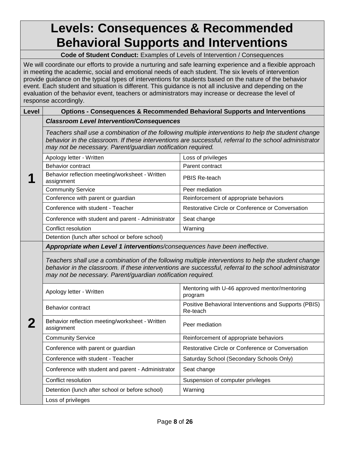# **Levels: Consequences & Recommended Behavioral Supports and Interventions**

**Code of Student Conduct:** Examples of Levels of Intervention / Consequences

We will coordinate our efforts to provide a nurturing and safe learning experience and a flexible approach in meeting the academic, social and emotional needs of each student. The six levels of intervention provide guidance on the typical types of interventions for students based on the nature of the behavior event. Each student and situation is different. This guidance is not all inclusive and depending on the evaluation of the behavior event, teachers or administrators may increase or decrease the level of response accordingly.

#### **Level Options - Consequences & Recommended Behavioral Supports and Interventions**

*Classroom Level Intervention/Consequences*

*Teachers shall use a combination of the following multiple interventions to help the student change behavior in the classroom. If these interventions are successful, referral to the school administrator may not be necessary. Parent/guardian notification required.*

|   | Apology letter - Written                                      | Loss of privileges                               |
|---|---------------------------------------------------------------|--------------------------------------------------|
|   | Behavior contract                                             | Parent contract                                  |
| 4 | Behavior reflection meeting/worksheet - Written<br>assignment | PBIS Re-teach                                    |
|   | <b>Community Service</b>                                      | Peer mediation                                   |
|   | Conference with parent or guardian                            | Reinforcement of appropriate behaviors           |
|   | Conference with student - Teacher                             | Restorative Circle or Conference or Conversation |
|   | Conference with student and parent - Administrator            | Seat change                                      |
|   | Conflict resolution                                           | Warning                                          |
|   | Detention (lunch after school or before school)               |                                                  |
|   |                                                               |                                                  |

*Appropriate when Level 1 interventions/consequences have been ineffective*.

*Teachers shall use a combination of the following multiple interventions to help the student change behavior in the classroom. If these interventions are successful, referral to the school administrator may not be necessary. Parent/guardian notification required.*

|   | Apology letter - Written                                      | Mentoring with U-46 approved mentor/mentoring<br>program          |
|---|---------------------------------------------------------------|-------------------------------------------------------------------|
|   | Behavior contract                                             | Positive Behavioral Interventions and Supports (PBIS)<br>Re-teach |
| 2 | Behavior reflection meeting/worksheet - Written<br>assignment | Peer mediation                                                    |
|   | <b>Community Service</b>                                      | Reinforcement of appropriate behaviors                            |
|   | Conference with parent or guardian                            | Restorative Circle or Conference or Conversation                  |
|   | Conference with student - Teacher                             | Saturday School (Secondary Schools Only)                          |
|   | Conference with student and parent - Administrator            | Seat change                                                       |
|   | Conflict resolution                                           | Suspension of computer privileges                                 |
|   | Detention (lunch after school or before school)               | Warning                                                           |
|   | Loss of privileges                                            |                                                                   |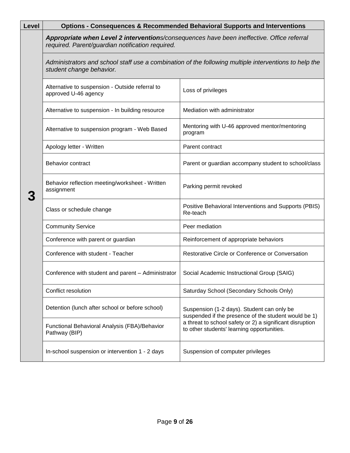| Level | Options - Consequences & Recommended Behavioral Supports and Interventions                                                                     |                                                                                                        |  |  |  |  |
|-------|------------------------------------------------------------------------------------------------------------------------------------------------|--------------------------------------------------------------------------------------------------------|--|--|--|--|
|       | Appropriate when Level 2 interventions/consequences have been ineffective. Office referral<br>required. Parent/guardian notification required. |                                                                                                        |  |  |  |  |
|       | Administrators and school staff use a combination of the following multiple interventions to help the<br>student change behavior.              |                                                                                                        |  |  |  |  |
|       | Alternative to suspension - Outside referral to<br>approved U-46 agency                                                                        | Loss of privileges                                                                                     |  |  |  |  |
|       | Alternative to suspension - In building resource                                                                                               | Mediation with administrator                                                                           |  |  |  |  |
|       | Alternative to suspension program - Web Based                                                                                                  | Mentoring with U-46 approved mentor/mentoring<br>program                                               |  |  |  |  |
|       | Apology letter - Written                                                                                                                       | Parent contract                                                                                        |  |  |  |  |
|       | Behavior contract                                                                                                                              | Parent or guardian accompany student to school/class                                                   |  |  |  |  |
|       | Behavior reflection meeting/worksheet - Written<br>assignment                                                                                  | Parking permit revoked                                                                                 |  |  |  |  |
|       | Class or schedule change                                                                                                                       | Positive Behavioral Interventions and Supports (PBIS)<br>Re-teach                                      |  |  |  |  |
|       | <b>Community Service</b>                                                                                                                       | Peer mediation                                                                                         |  |  |  |  |
|       | Conference with parent or guardian                                                                                                             | Reinforcement of appropriate behaviors                                                                 |  |  |  |  |
|       | Conference with student - Teacher                                                                                                              | Restorative Circle or Conference or Conversation                                                       |  |  |  |  |
|       | Conference with student and parent - Administrator                                                                                             | Social Academic Instructional Group (SAIG)                                                             |  |  |  |  |
|       | Conflict resolution                                                                                                                            | Saturday School (Secondary Schools Only)                                                               |  |  |  |  |
|       | Detention (lunch after school or before school)                                                                                                | Suspension (1-2 days). Student can only be<br>suspended if the presence of the student would be 1)     |  |  |  |  |
|       | Functional Behavioral Analysis (FBA)/Behavior<br>Pathway (BIP)                                                                                 | a threat to school safety or 2) a significant disruption<br>to other students' learning opportunities. |  |  |  |  |
|       | In-school suspension or intervention 1 - 2 days                                                                                                | Suspension of computer privileges                                                                      |  |  |  |  |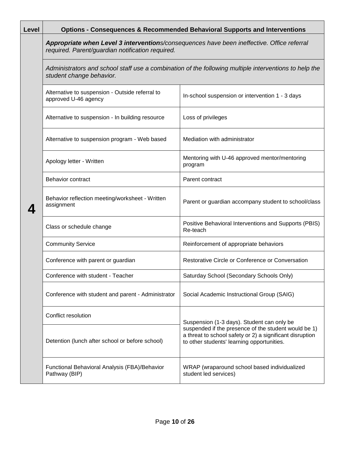| Level | <b>Options - Consequences &amp; Recommended Behavioral Supports and Interventions</b>                                                          |                                                                                                                                                                |  |  |  |  |  |
|-------|------------------------------------------------------------------------------------------------------------------------------------------------|----------------------------------------------------------------------------------------------------------------------------------------------------------------|--|--|--|--|--|
|       | Appropriate when Level 3 interventions/consequences have been ineffective. Office referral<br>required. Parent/guardian notification required. |                                                                                                                                                                |  |  |  |  |  |
|       | student change behavior.                                                                                                                       | Administrators and school staff use a combination of the following multiple interventions to help the                                                          |  |  |  |  |  |
|       | Alternative to suspension - Outside referral to<br>approved U-46 agency                                                                        | In-school suspension or intervention 1 - 3 days                                                                                                                |  |  |  |  |  |
|       | Alternative to suspension - In building resource                                                                                               | Loss of privileges                                                                                                                                             |  |  |  |  |  |
|       | Alternative to suspension program - Web based                                                                                                  | Mediation with administrator                                                                                                                                   |  |  |  |  |  |
|       | Apology letter - Written                                                                                                                       | Mentoring with U-46 approved mentor/mentoring<br>program                                                                                                       |  |  |  |  |  |
|       | <b>Behavior contract</b>                                                                                                                       | Parent contract                                                                                                                                                |  |  |  |  |  |
|       | Behavior reflection meeting/worksheet - Written<br>assignment                                                                                  | Parent or guardian accompany student to school/class                                                                                                           |  |  |  |  |  |
|       | Class or schedule change                                                                                                                       | Positive Behavioral Interventions and Supports (PBIS)<br>Re-teach                                                                                              |  |  |  |  |  |
|       | <b>Community Service</b>                                                                                                                       | Reinforcement of appropriate behaviors                                                                                                                         |  |  |  |  |  |
|       | Conference with parent or guardian                                                                                                             | Restorative Circle or Conference or Conversation                                                                                                               |  |  |  |  |  |
|       | Conference with student - Teacher                                                                                                              | Saturday School (Secondary Schools Only)                                                                                                                       |  |  |  |  |  |
|       | Conference with student and parent - Administrator                                                                                             | Social Academic Instructional Group (SAIG)                                                                                                                     |  |  |  |  |  |
|       | Conflict resolution                                                                                                                            | Suspension (1-3 days). Student can only be                                                                                                                     |  |  |  |  |  |
|       | Detention (lunch after school or before school)                                                                                                | suspended if the presence of the student would be 1)<br>a threat to school safety or 2) a significant disruption<br>to other students' learning opportunities. |  |  |  |  |  |
|       | Functional Behavioral Analysis (FBA)/Behavior<br>Pathway (BIP)                                                                                 | WRAP (wraparound school based individualized<br>student led services)                                                                                          |  |  |  |  |  |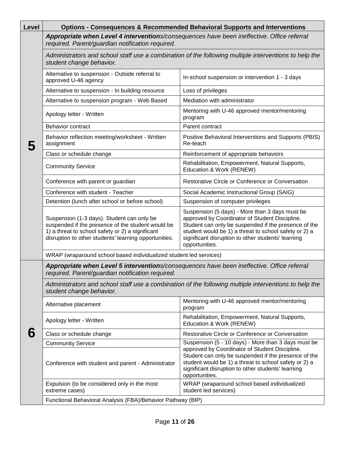| Level | <b>Options - Consequences &amp; Recommended Behavioral Supports and Interventions</b>                                                                                                                        |                                                                                                                                                                                                                                                                                           |  |  |  |  |  |
|-------|--------------------------------------------------------------------------------------------------------------------------------------------------------------------------------------------------------------|-------------------------------------------------------------------------------------------------------------------------------------------------------------------------------------------------------------------------------------------------------------------------------------------|--|--|--|--|--|
|       | Appropriate when Level 4 interventions/consequences have been ineffective. Office referral<br>required. Parent/guardian notification required.                                                               |                                                                                                                                                                                                                                                                                           |  |  |  |  |  |
|       | Administrators and school staff use a combination of the following multiple interventions to help the<br>student change behavior.                                                                            |                                                                                                                                                                                                                                                                                           |  |  |  |  |  |
|       | Alternative to suspension - Outside referral to<br>approved U-46 agency                                                                                                                                      | In-school suspension or intervention 1 - 3 days                                                                                                                                                                                                                                           |  |  |  |  |  |
|       | Alternative to suspension - In building resource                                                                                                                                                             | Loss of privileges                                                                                                                                                                                                                                                                        |  |  |  |  |  |
|       | Alternative to suspension program - Web Based                                                                                                                                                                | Mediation with administrator                                                                                                                                                                                                                                                              |  |  |  |  |  |
|       | Apology letter - Written                                                                                                                                                                                     | Mentoring with U-46 approved mentor/mentoring<br>program                                                                                                                                                                                                                                  |  |  |  |  |  |
|       | <b>Behavior contract</b>                                                                                                                                                                                     | Parent contract                                                                                                                                                                                                                                                                           |  |  |  |  |  |
|       | Behavior reflection meeting/worksheet - Written<br>assignment                                                                                                                                                | Positive Behavioral Interventions and Supports (PBIS)<br>Re-teach                                                                                                                                                                                                                         |  |  |  |  |  |
|       | Class or schedule change                                                                                                                                                                                     | Reinforcement of appropriate behaviors                                                                                                                                                                                                                                                    |  |  |  |  |  |
|       | <b>Community Service</b>                                                                                                                                                                                     | Rehabilitation, Empowerment, Natural Supports,<br>Education & Work (RENEW)                                                                                                                                                                                                                |  |  |  |  |  |
|       | Conference with parent or guardian                                                                                                                                                                           | Restorative Circle or Conference or Conversation                                                                                                                                                                                                                                          |  |  |  |  |  |
|       | Conference with student - Teacher                                                                                                                                                                            | Social Academic Instructional Group (SAIG)                                                                                                                                                                                                                                                |  |  |  |  |  |
|       | Detention (lunch after school or before school)                                                                                                                                                              | Suspension of computer privileges                                                                                                                                                                                                                                                         |  |  |  |  |  |
|       | Suspension (1-3 days). Student can only be<br>suspended if the presence of the student would be<br>1) a threat to school safety or 2) a significant<br>disruption to other students' learning opportunities. | Suspension (5 days) - More than 3 days must be<br>approved by Coordinator of Student Discipline.<br>Student can only be suspended if the presence of the<br>student would be 1) a threat to school safety or 2) a<br>significant disruption to other students' learning<br>opportunities. |  |  |  |  |  |
|       | WRAP (wraparound school based individualized student led services)                                                                                                                                           |                                                                                                                                                                                                                                                                                           |  |  |  |  |  |
|       | Appropriate when Level 5 interventions/consequences have been ineffective. Office referral<br>required. Parent/guardian notification required.                                                               |                                                                                                                                                                                                                                                                                           |  |  |  |  |  |
|       | Administrators and school staff use a combination of the following multiple interventions to help the<br>student change behavior.                                                                            |                                                                                                                                                                                                                                                                                           |  |  |  |  |  |
|       | Alternative placement                                                                                                                                                                                        | Mentoring with U-46 approved mentor/mentoring<br>program                                                                                                                                                                                                                                  |  |  |  |  |  |
|       | Apology letter - Written                                                                                                                                                                                     | Rehabilitation, Empowerment, Natural Supports,<br>Education & Work (RENEW)                                                                                                                                                                                                                |  |  |  |  |  |
| b     | Class or schedule change                                                                                                                                                                                     | Restorative Circle or Conference or Conversation                                                                                                                                                                                                                                          |  |  |  |  |  |
|       | <b>Community Service</b>                                                                                                                                                                                     | Suspension (5 - 10 days) - More than 3 days must be                                                                                                                                                                                                                                       |  |  |  |  |  |
|       | Conference with student and parent - Administrator                                                                                                                                                           | approved by Coordinator of Student Discipline.<br>Student can only be suspended if the presence of the<br>student would be 1) a threat to school safety or 2) a<br>significant disruption to other students' learning<br>opportunities.                                                   |  |  |  |  |  |
|       | Expulsion (to be considered only in the most<br>extreme cases)                                                                                                                                               | WRAP (wraparound school based individualized<br>student led services)                                                                                                                                                                                                                     |  |  |  |  |  |
|       | Functional Behavioral Analysis (FBA)/Behavior Pathway (BIP)                                                                                                                                                  |                                                                                                                                                                                                                                                                                           |  |  |  |  |  |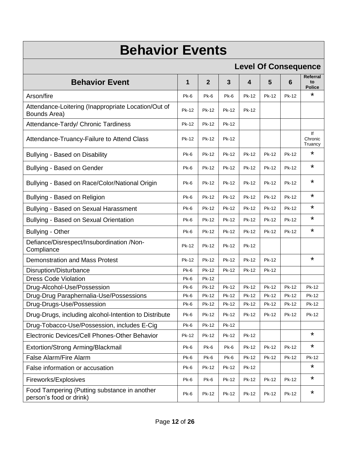# **Behavior Events**

### **Level Of Consequence**

|                                                                         | Lovo, Or Oonooquonoo |                |       |                         |       |       |                                 |
|-------------------------------------------------------------------------|----------------------|----------------|-------|-------------------------|-------|-------|---------------------------------|
| <b>Behavior Event</b>                                                   | 1                    | $\overline{2}$ | 3     | $\overline{\mathbf{4}}$ | 5     | 6     | Referral<br>to<br><b>Police</b> |
| Arson/fire                                                              | Pk-6                 | Pk-6           | Pk-6  | Pk-12                   | Pk-12 | Pk-12 | *                               |
| Attendance-Loitering (Inappropriate Location/Out of<br>Bounds Area)     | Pk-12                | Pk-12          | Pk-12 | Pk-12                   |       |       |                                 |
| Attendance-Tardy/ Chronic Tardiness                                     | Pk-12                | Pk-12          | Pk-12 |                         |       |       |                                 |
| Attendance-Truancy-Failure to Attend Class                              | Pk-12                | Pk-12          | Pk-12 |                         |       |       | lf<br>Chronic<br>Truancy        |
| <b>Bullying - Based on Disability</b>                                   | Pk-6                 | Pk-12          | Pk-12 | Pk-12                   | Pk-12 | Pk-12 | *                               |
| Bullying - Based on Gender                                              | Pk-6                 | Pk-12          | Pk-12 | Pk-12                   | Pk-12 | Pk-12 | *                               |
| Bullying - Based on Race/Color/National Origin                          | Pk-6                 | Pk-12          | Pk-12 | Pk-12                   | Pk-12 | Pk-12 | *                               |
| Bullying - Based on Religion                                            | Pk-6                 | Pk-12          | Pk-12 | Pk-12                   | Pk-12 | Pk-12 | *                               |
| Bullying - Based on Sexual Harassment                                   | Pk-6                 | Pk-12          | Pk-12 | Pk-12                   | Pk-12 | Pk-12 | *                               |
| Bullying - Based on Sexual Orientation                                  | Pk-6                 | Pk-12          | Pk-12 | Pk-12                   | Pk-12 | Pk-12 | *                               |
| <b>Bullying - Other</b>                                                 | Pk-6                 | Pk-12          | Pk-12 | Pk-12                   | Pk-12 | Pk-12 | *                               |
| Defiance/Disrespect/Insubordination /Non-<br>Compliance                 | Pk-12                | Pk-12          | Pk-12 | Pk-12                   |       |       |                                 |
| Demonstration and Mass Protest                                          | Pk-12                | Pk-12          | Pk-12 | Pk-12                   | Pk-12 |       | *                               |
| Disruption/Disturbance                                                  | Pk-6                 | Pk-12          | Pk-12 | Pk-12                   | Pk-12 |       |                                 |
| <b>Dress Code Violation</b>                                             | Pk-6                 | Pk-12          |       |                         |       |       |                                 |
| Drug-Alcohol-Use/Possession                                             | Pk-6                 | Pk-12          | Pk-12 | Pk-12                   | Pk-12 | Pk-12 | Pk-12                           |
| Drug-Drug Paraphernalia-Use/Possessions                                 | Pk-6                 | Pk-12          | Pk-12 | Pk-12                   | Pk-12 | Pk-12 | Pk-12                           |
| Drug-Drugs-Use/Possession                                               | Pk-6                 | Pk-12          | Pk-12 | Pk-12                   | Pk-12 | Pk-12 | Pk-12                           |
| Drug-Drugs, including alcohol-Intention to Distribute                   | Pk-6                 | Pk-12          | Pk-12 | Pk-12                   | Pk-12 | Pk-12 | Pk-12                           |
| Drug-Tobacco-Use/Possession, includes E-Cig                             | Pk-6                 | Pk-12          | Pk-12 |                         |       |       |                                 |
| Electronic Devices/Cell Phones-Other Behavior                           | Pk-12                | Pk-12          | Pk-12 | Pk-12                   |       |       | *                               |
| Extortion/Strong Arming/Blackmail                                       | Pk-6                 | Pk-6           | Pk-6  | Pk-12                   | Pk-12 | Pk-12 | *                               |
| False Alarm/Fire Alarm                                                  | Pk-6                 | Pk-6           | Pk-6  | Pk-12                   | Pk-12 | Pk-12 | Pk-12                           |
| False information or accusation                                         | Pk-6                 | Pk-12          | Pk-12 | Pk-12                   |       |       | *                               |
| Fireworks/Explosives                                                    | Pk-6                 | Pk-6           | Pk-12 | Pk-12                   | Pk-12 | Pk-12 | *                               |
| Food Tampering (Putting substance in another<br>person's food or drink) | Pk-6                 | Pk-12          | Pk-12 | Pk-12                   | Pk-12 | Pk-12 | *                               |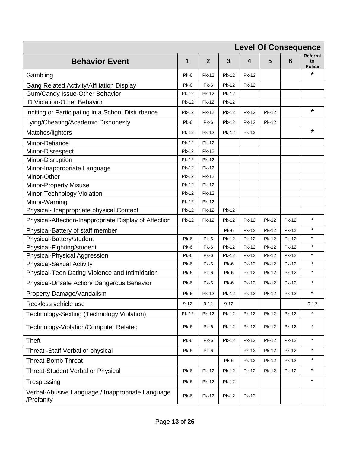| <b>Level Of Consequence</b>                                    |              |              |              |              |              |              |                                 |
|----------------------------------------------------------------|--------------|--------------|--------------|--------------|--------------|--------------|---------------------------------|
| <b>Behavior Event</b>                                          | 1            | $\mathbf{2}$ | 3            | 4            | 5            | 6            | Referral<br>to<br><b>Police</b> |
| Gambling                                                       | Pk-6         | Pk-12        | <b>Pk-12</b> | Pk-12        |              |              | *                               |
| Gang Related Activity/Affiliation Display                      | Pk-6         | $Pk-6$       | Pk-12        | Pk-12        |              |              |                                 |
| Gum/Candy Issue-Other Behavior                                 | Pk-12        | Pk-12        | Pk-12        |              |              |              |                                 |
| ID Violation-Other Behavior                                    | <b>Pk-12</b> | Pk-12        | Pk-12        |              |              |              |                                 |
| Inciting or Participating in a School Disturbance              | Pk-12        | Pk-12        | Pk-12        | Pk-12        | Pk-12        |              | $\star$                         |
| Lying/Cheating/Academic Dishonesty                             | Pk-6         | Pk-6         | Pk-12        | Pk-12        | Pk-12        |              |                                 |
| Matches/lighters                                               | Pk-12        | <b>Pk-12</b> | Pk-12        | Pk-12        |              |              | $\star$                         |
| Minor-Defiance                                                 | Pk-12        | Pk-12        |              |              |              |              |                                 |
| Minor-Disrespect                                               | Pk-12        | <b>Pk-12</b> |              |              |              |              |                                 |
| Minor-Disruption                                               | Pk-12        | Pk-12        |              |              |              |              |                                 |
| Minor-Inappropriate Language                                   | Pk-12        | Pk-12        |              |              |              |              |                                 |
| Minor-Other                                                    | Pk-12        | <b>Pk-12</b> |              |              |              |              |                                 |
| <b>Minor-Property Misuse</b>                                   | Pk-12        | Pk-12        |              |              |              |              |                                 |
| Minor-Technology Violation                                     | Pk-12        | Pk-12        |              |              |              |              |                                 |
| Minor-Warning                                                  | Pk-12        | Pk-12        |              |              |              |              |                                 |
| Physical- Inappropriate physical Contact                       | Pk-12        | Pk-12        | Pk-12        |              |              |              |                                 |
| Physical-Affection-Inappropriate Display of Affection          | Pk-12        | Pk-12        | Pk-12        | Pk-12        | Pk-12        | Pk-12        | $\star$                         |
| Physical-Battery of staff member                               |              |              | Pk-6         | Pk-12        | Pk-12        | <b>Pk-12</b> | $\star$                         |
| Physical-Battery/student                                       | Pk-6         | Pk-6         | Pk-12        | Pk-12        | Pk-12        | Pk-12        | $\star$                         |
| Physical-Fighting/student                                      | Pk-6         | Pk-6         | Pk-12        | Pk-12        | Pk-12        | Pk-12        | $\star$                         |
| Physical-Physical Aggression                                   | Pk-6         | Pk-6         | Pk-12        | Pk-12        | Pk-12        | Pk-12        | $\star$                         |
| <b>Physical-Sexual Activity</b>                                | Pk-6         | Pk-6         | Pk-6         | Pk-12        | <b>Pk-12</b> | Pk-12        | $\star$                         |
| Physical-Teen Dating Violence and Intimidation                 | Pk-6         | Pk-6         | Pk-6         | Pk-12        | Pk-12        | Pk-12        | $\star$                         |
| Physical-Unsafe Action/ Dangerous Behavior                     | Pk-6         | Pk-6         | Pk-6         | Pk-12        | Pk-12        | Pk-12        | $\star$                         |
| Property Damage/Vandalism                                      | Pk-6         | Pk-12        | Pk-12        | Pk-12        | Pk-12        | Pk-12        | $\star$                         |
| Reckless vehicle use                                           | $9 - 12$     | $9 - 12$     | $9 - 12$     |              |              |              | $9 - 12$                        |
| Technology-Sexting (Technology Violation)                      | Pk-12        | <b>Pk-12</b> | <b>Pk-12</b> | <b>Pk-12</b> | <b>Pk-12</b> | <b>Pk-12</b> | $\star$                         |
| <b>Technology-Violation/Computer Related</b>                   | Pk-6         | Pk-6         | Pk-12        | Pk-12        | Pk-12        | Pk-12        | $^\star$                        |
| <b>Theft</b>                                                   | Pk-6         | Pk-6         | <b>Pk-12</b> | <b>Pk-12</b> | Pk-12        | <b>Pk-12</b> | $\star$                         |
| Threat -Staff Verbal or physical                               | Pk-6         | Pk-6         |              | <b>Pk-12</b> | Pk-12        | <b>Pk-12</b> | $\star$                         |
| <b>Threat-Bomb Threat</b>                                      |              |              | Pk-6         | Pk-12        | Pk-12        | <b>Pk-12</b> | $\star$                         |
| Threat-Student Verbal or Physical                              | Pk-6         | <b>Pk-12</b> | <b>Pk-12</b> | <b>Pk-12</b> | Pk-12        | <b>Pk-12</b> | $\star$                         |
| Trespassing                                                    | Pk-6         | Pk-12        | Pk-12        |              |              |              | $\star$                         |
| Verbal-Abusive Language / Inappropriate Language<br>/Profanity | Pk-6         | Pk-12        | Pk-12        | <b>Pk-12</b> |              |              |                                 |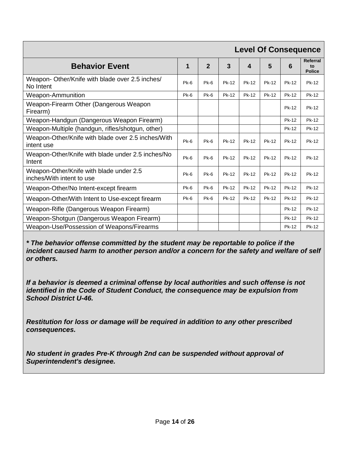|                                                                      |        |                |       |              |       |       | <b>Level Of Consequence</b>     |
|----------------------------------------------------------------------|--------|----------------|-------|--------------|-------|-------|---------------------------------|
| <b>Behavior Event</b>                                                | 1      | $\overline{2}$ | 3     | 4            | 5     | 6     | Referral<br>to<br><b>Police</b> |
| Weapon- Other/Knife with blade over 2.5 inches/<br>No Intent         | $Pk-6$ | Pk-6           | Pk-12 | Pk-12        | Pk-12 | Pk-12 | Pk-12                           |
| <b>Weapon-Ammunition</b>                                             | $Pk-6$ | $Pk-6$         | Pk-12 | <b>Pk-12</b> | Pk-12 | Pk-12 | Pk-12                           |
| Weapon-Firearm Other (Dangerous Weapon<br>Firearm)                   |        |                |       |              |       | Pk-12 | Pk-12                           |
| Weapon-Handgun (Dangerous Weapon Firearm)                            |        |                |       |              |       | Pk-12 | Pk-12                           |
| Weapon-Multiple (handgun, rifles/shotgun, other)                     |        |                |       |              |       | Pk-12 | Pk-12                           |
| Weapon-Other/Knife with blade over 2.5 inches/With<br>intent use     | $Pk-6$ | $Pk-6$         | Pk-12 | Pk-12        | Pk-12 | Pk-12 | Pk-12                           |
| Weapon-Other/Knife with blade under 2.5 inches/No<br>Intent          | $Pk-6$ | $Pk-6$         | Pk-12 | Pk-12        | Pk-12 | Pk-12 | Pk-12                           |
| Weapon-Other/Knife with blade under 2.5<br>inches/With intent to use | Pk-6   | Pk-6           | Pk-12 | Pk-12        | Pk-12 | Pk-12 | Pk-12                           |
| Weapon-Other/No Intent-except firearm                                | Pk-6   | $Pk-6$         | Pk-12 | Pk-12        | Pk-12 | Pk-12 | Pk-12                           |
| Weapon-Other/With Intent to Use-except firearm                       | Pk-6   | Pk-6           | Pk-12 | Pk-12        | Pk-12 | Pk-12 | Pk-12                           |
| Weapon-Rifle (Dangerous Weapon Firearm)                              |        |                |       |              |       | Pk-12 | Pk-12                           |
| Weapon-Shotgun (Dangerous Weapon Firearm)                            |        |                |       |              |       | Pk-12 | Pk-12                           |
| Weapon-Use/Possession of Weapons/Firearms                            |        |                |       |              |       | Pk-12 | Pk-12                           |

*\* The behavior offense committed by the student may be reportable to police if the incident caused harm to another person and/or a concern for the safety and welfare of self or others.*

*If a behavior is deemed a criminal offense by local authorities and such offense is not identified in the Code of Student Conduct, the consequence may be expulsion from School District U-46.* 

*Restitution for loss or damage will be required in addition to any other prescribed consequences.*

*No student in grades Pre-K through 2nd can be suspended without approval of Superintendent's designee.*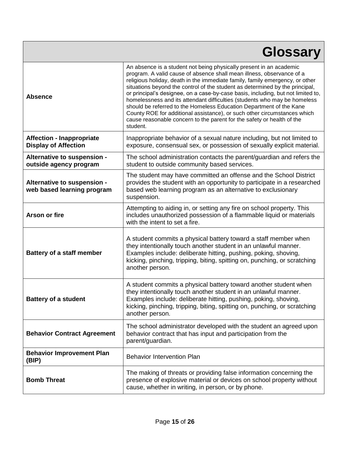|                                                                 | <b>Glossary</b>                                                                                                                                                                                                                                                                                                                                                                                                                                                                                                                                                                                                                                                                                                        |
|-----------------------------------------------------------------|------------------------------------------------------------------------------------------------------------------------------------------------------------------------------------------------------------------------------------------------------------------------------------------------------------------------------------------------------------------------------------------------------------------------------------------------------------------------------------------------------------------------------------------------------------------------------------------------------------------------------------------------------------------------------------------------------------------------|
| <b>Absence</b>                                                  | An absence is a student not being physically present in an academic<br>program. A valid cause of absence shall mean illness, observance of a<br>religious holiday, death in the immediate family, family emergency, or other<br>situations beyond the control of the student as determined by the principal,<br>or principal's designee, on a case-by-case basis, including, but not limited to,<br>homelessness and its attendant difficulties (students who may be homeless<br>should be referred to the Homeless Education Department of the Kane<br>County ROE for additional assistance), or such other circumstances which<br>cause reasonable concern to the parent for the safety or health of the<br>student. |
| <b>Affection - Inappropriate</b><br><b>Display of Affection</b> | Inappropriate behavior of a sexual nature including, but not limited to<br>exposure, consensual sex, or possession of sexually explicit material.                                                                                                                                                                                                                                                                                                                                                                                                                                                                                                                                                                      |
| Alternative to suspension -<br>outside agency program           | The school administration contacts the parent/guardian and refers the<br>student to outside community based services.                                                                                                                                                                                                                                                                                                                                                                                                                                                                                                                                                                                                  |
| Alternative to suspension -<br>web based learning program       | The student may have committed an offense and the School District<br>provides the student with an opportunity to participate in a researched<br>based web learning program as an alternative to exclusionary<br>suspension.                                                                                                                                                                                                                                                                                                                                                                                                                                                                                            |
| <b>Arson or fire</b>                                            | Attempting to aiding in, or setting any fire on school property. This<br>includes unauthorized possession of a flammable liquid or materials<br>with the intent to set a fire.                                                                                                                                                                                                                                                                                                                                                                                                                                                                                                                                         |
| <b>Battery of a staff member</b>                                | A student commits a physical battery toward a staff member when<br>they intentionally touch another student in an unlawful manner.<br>Examples include: deliberate hitting, pushing, poking, shoving,<br>kicking, pinching, tripping, biting, spitting on, punching, or scratching<br>another person.                                                                                                                                                                                                                                                                                                                                                                                                                  |
| Battery of a student                                            | A student commits a physical battery toward another student when<br>they intentionally touch another student in an unlawful manner.<br>Examples include: deliberate hitting, pushing, poking, shoving,<br>kicking, pinching, tripping, biting, spitting on, punching, or scratching<br>another person.                                                                                                                                                                                                                                                                                                                                                                                                                 |
| <b>Behavior Contract Agreement</b>                              | The school administrator developed with the student an agreed upon<br>behavior contract that has input and participation from the<br>parent/guardian.                                                                                                                                                                                                                                                                                                                                                                                                                                                                                                                                                                  |
| <b>Behavior Improvement Plan</b><br>(BIP)                       | <b>Behavior Intervention Plan</b>                                                                                                                                                                                                                                                                                                                                                                                                                                                                                                                                                                                                                                                                                      |
| <b>Bomb Threat</b>                                              | The making of threats or providing false information concerning the<br>presence of explosive material or devices on school property without<br>cause, whether in writing, in person, or by phone.                                                                                                                                                                                                                                                                                                                                                                                                                                                                                                                      |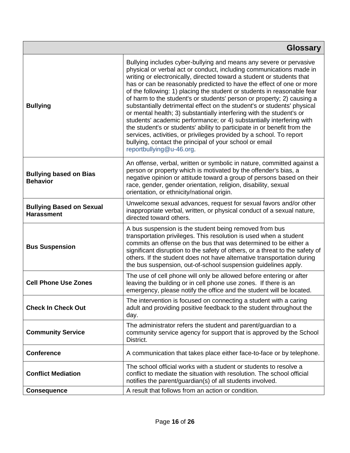| <b>Glossary</b>                                      |                                                                                                                                                                                                                                                                                                                                                                                                                                                                                                                                                                                                                                                                                                                                                                                                                                                                                                                      |  |  |  |  |
|------------------------------------------------------|----------------------------------------------------------------------------------------------------------------------------------------------------------------------------------------------------------------------------------------------------------------------------------------------------------------------------------------------------------------------------------------------------------------------------------------------------------------------------------------------------------------------------------------------------------------------------------------------------------------------------------------------------------------------------------------------------------------------------------------------------------------------------------------------------------------------------------------------------------------------------------------------------------------------|--|--|--|--|
| <b>Bullying</b>                                      | Bullying includes cyber-bullying and means any severe or pervasive<br>physical or verbal act or conduct, including communications made in<br>writing or electronically, directed toward a student or students that<br>has or can be reasonably predicted to have the effect of one or more<br>of the following: 1) placing the student or students in reasonable fear<br>of harm to the student's or students' person or property; 2) causing a<br>substantially detrimental effect on the student's or students' physical<br>or mental health; 3) substantially interfering with the student's or<br>students' academic performance; or 4) substantially interfering with<br>the student's or students' ability to participate in or benefit from the<br>services, activities, or privileges provided by a school. To report<br>bullying, contact the principal of your school or email<br>reportbullying@u-46.org. |  |  |  |  |
| <b>Bullying based on Bias</b><br><b>Behavior</b>     | An offense, verbal, written or symbolic in nature, committed against a<br>person or property which is motivated by the offender's bias, a<br>negative opinion or attitude toward a group of persons based on their<br>race, gender, gender orientation, religion, disability, sexual<br>orientation, or ethnicity/national origin.                                                                                                                                                                                                                                                                                                                                                                                                                                                                                                                                                                                   |  |  |  |  |
| <b>Bullying Based on Sexual</b><br><b>Harassment</b> | Unwelcome sexual advances, request for sexual favors and/or other<br>inappropriate verbal, written, or physical conduct of a sexual nature,<br>directed toward others.                                                                                                                                                                                                                                                                                                                                                                                                                                                                                                                                                                                                                                                                                                                                               |  |  |  |  |
| <b>Bus Suspension</b>                                | A bus suspension is the student being removed from bus<br>transportation privileges. This resolution is used when a student<br>commits an offense on the bus that was determined to be either a<br>significant disruption to the safety of others, or a threat to the safety of<br>others. If the student does not have alternative transportation during<br>the bus suspension, out-of-school suspension guidelines apply.                                                                                                                                                                                                                                                                                                                                                                                                                                                                                          |  |  |  |  |
| <b>Cell Phone Use Zones</b>                          | The use of cell phone will only be allowed before entering or after<br>leaving the building or in cell phone use zones. If there is an<br>emergency, please notify the office and the student will be located.                                                                                                                                                                                                                                                                                                                                                                                                                                                                                                                                                                                                                                                                                                       |  |  |  |  |
| <b>Check In Check Out</b>                            | The intervention is focused on connecting a student with a caring<br>adult and providing positive feedback to the student throughout the<br>day.                                                                                                                                                                                                                                                                                                                                                                                                                                                                                                                                                                                                                                                                                                                                                                     |  |  |  |  |
| <b>Community Service</b>                             | The administrator refers the student and parent/guardian to a<br>community service agency for support that is approved by the School<br>District.                                                                                                                                                                                                                                                                                                                                                                                                                                                                                                                                                                                                                                                                                                                                                                    |  |  |  |  |
| <b>Conference</b>                                    | A communication that takes place either face-to-face or by telephone.                                                                                                                                                                                                                                                                                                                                                                                                                                                                                                                                                                                                                                                                                                                                                                                                                                                |  |  |  |  |
| <b>Conflict Mediation</b>                            | The school official works with a student or students to resolve a<br>conflict to mediate the situation with resolution. The school official<br>notifies the parent/guardian(s) of all students involved.                                                                                                                                                                                                                                                                                                                                                                                                                                                                                                                                                                                                                                                                                                             |  |  |  |  |
| <b>Consequence</b>                                   | A result that follows from an action or condition.                                                                                                                                                                                                                                                                                                                                                                                                                                                                                                                                                                                                                                                                                                                                                                                                                                                                   |  |  |  |  |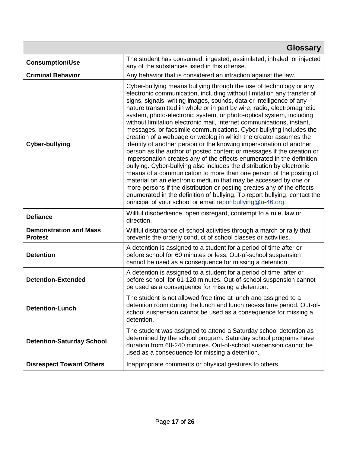|                                                 | <b>Glossary</b>                                                                                                                                                                                                                                                                                                                                                                                                                                                                                                                                                                                                                                                                                                                                                                                                                                                                                                                                                                                                                                                                                                                                                                                                                                        |
|-------------------------------------------------|--------------------------------------------------------------------------------------------------------------------------------------------------------------------------------------------------------------------------------------------------------------------------------------------------------------------------------------------------------------------------------------------------------------------------------------------------------------------------------------------------------------------------------------------------------------------------------------------------------------------------------------------------------------------------------------------------------------------------------------------------------------------------------------------------------------------------------------------------------------------------------------------------------------------------------------------------------------------------------------------------------------------------------------------------------------------------------------------------------------------------------------------------------------------------------------------------------------------------------------------------------|
| <b>Consumption/Use</b>                          | The student has consumed, ingested, assimilated, inhaled, or injected<br>any of the substances listed in this offense.                                                                                                                                                                                                                                                                                                                                                                                                                                                                                                                                                                                                                                                                                                                                                                                                                                                                                                                                                                                                                                                                                                                                 |
| <b>Criminal Behavior</b>                        | Any behavior that is considered an infraction against the law.                                                                                                                                                                                                                                                                                                                                                                                                                                                                                                                                                                                                                                                                                                                                                                                                                                                                                                                                                                                                                                                                                                                                                                                         |
| <b>Cyber-bullying</b>                           | Cyber-bullying means bullying through the use of technology or any<br>electronic communication, including without limitation any transfer of<br>signs, signals, writing images, sounds, data or intelligence of any<br>nature transmitted in whole or in part by wire, radio, electromagnetic<br>system, photo-electronic system, or photo-optical system, including<br>without limitation electronic mail, internet communications, instant,<br>messages, or facsimile communications. Cyber-bullying includes the<br>creation of a webpage or weblog in which the creator assumes the<br>identity of another person or the knowing impersonation of another<br>person as the author of posted content or messages if the creation or<br>impersonation creates any of the effects enumerated in the definition<br>bullying. Cyber-bullying also includes the distribution by electronic<br>means of a communication to more than one person of the posting of<br>material on an electronic medium that may be accessed by one or<br>more persons if the distribution or posting creates any of the effects<br>enumerated in the definition of bullying. To report bullying, contact the<br>principal of your school or email reportbullying@u-46.org. |
| <b>Defiance</b>                                 | Willful disobedience, open disregard, contempt to a rule, law or<br>direction.                                                                                                                                                                                                                                                                                                                                                                                                                                                                                                                                                                                                                                                                                                                                                                                                                                                                                                                                                                                                                                                                                                                                                                         |
| <b>Demonstration and Mass</b><br><b>Protest</b> | Willful disturbance of school activities through a march or rally that<br>prevents the orderly conduct of school classes or activities.                                                                                                                                                                                                                                                                                                                                                                                                                                                                                                                                                                                                                                                                                                                                                                                                                                                                                                                                                                                                                                                                                                                |
| <b>Detention</b>                                | A detention is assigned to a student for a period of time after or<br>before school for 60 minutes or less. Out-of-school suspension<br>cannot be used as a consequence for missing a detention.                                                                                                                                                                                                                                                                                                                                                                                                                                                                                                                                                                                                                                                                                                                                                                                                                                                                                                                                                                                                                                                       |
| <b>Detention-Extended</b>                       | A detention is assigned to a student for a period of time, after or<br>before school, for 61-120 minutes. Out-of-school suspension cannot<br>be used as a consequence for missing a detention.                                                                                                                                                                                                                                                                                                                                                                                                                                                                                                                                                                                                                                                                                                                                                                                                                                                                                                                                                                                                                                                         |
| <b>Detention-Lunch</b>                          | The student is not allowed free time at lunch and assigned to a<br>detention room during the lunch and lunch recess time period. Out-of-<br>school suspension cannot be used as a consequence for missing a<br>detention.                                                                                                                                                                                                                                                                                                                                                                                                                                                                                                                                                                                                                                                                                                                                                                                                                                                                                                                                                                                                                              |
| <b>Detention-Saturday School</b>                | The student was assigned to attend a Saturday school detention as<br>determined by the school program. Saturday school programs have<br>duration from 60-240 minutes. Out-of-school suspension cannot be<br>used as a consequence for missing a detention.                                                                                                                                                                                                                                                                                                                                                                                                                                                                                                                                                                                                                                                                                                                                                                                                                                                                                                                                                                                             |
| <b>Disrespect Toward Others</b>                 | Inappropriate comments or physical gestures to others.                                                                                                                                                                                                                                                                                                                                                                                                                                                                                                                                                                                                                                                                                                                                                                                                                                                                                                                                                                                                                                                                                                                                                                                                 |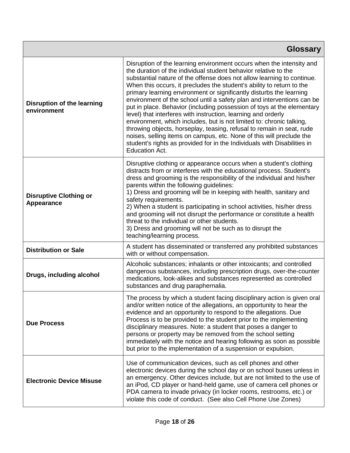|                                             | <b>Glossary</b>                                                                                                                                                                                                                                                                                                                                                                                                                                                                                                                                                                                                                                                                                                                                                                                                                                                                                                      |
|---------------------------------------------|----------------------------------------------------------------------------------------------------------------------------------------------------------------------------------------------------------------------------------------------------------------------------------------------------------------------------------------------------------------------------------------------------------------------------------------------------------------------------------------------------------------------------------------------------------------------------------------------------------------------------------------------------------------------------------------------------------------------------------------------------------------------------------------------------------------------------------------------------------------------------------------------------------------------|
| Disruption of the learning<br>environment   | Disruption of the learning environment occurs when the intensity and<br>the duration of the individual student behavior relative to the<br>substantial nature of the offense does not allow learning to continue.<br>When this occurs, it precludes the student's ability to return to the<br>primary learning environment or significantly disturbs the learning<br>environment of the school until a safety plan and interventions can be<br>put in place. Behavior (including possession of toys at the elementary<br>level) that interferes with instruction, learning and orderly<br>environment, which includes, but is not limited to: chronic talking,<br>throwing objects, horseplay, teasing, refusal to remain in seat, rude<br>noises, selling items on campus, etc. None of this will preclude the<br>student's rights as provided for in the Individuals with Disabilities in<br><b>Education Act.</b> |
| <b>Disruptive Clothing or</b><br>Appearance | Disruptive clothing or appearance occurs when a student's clothing<br>distracts from or interferes with the educational process. Student's<br>dress and grooming is the responsibility of the individual and his/her<br>parents within the following guidelines:<br>1) Dress and grooming will be in keeping with health, sanitary and<br>safety requirements.<br>2) When a student is participating in school activities, his/her dress<br>and grooming will not disrupt the performance or constitute a health<br>threat to the individual or other students.<br>3) Dress and grooming will not be such as to disrupt the<br>teaching/learning process.                                                                                                                                                                                                                                                            |
| <b>Distribution or Sale</b>                 | A student has disseminated or transferred any prohibited substances<br>with or without compensation.                                                                                                                                                                                                                                                                                                                                                                                                                                                                                                                                                                                                                                                                                                                                                                                                                 |
| Drugs, including alcohol                    | Alcoholic substances; inhalants or other intoxicants; and controlled<br>dangerous substances, including prescription drugs, over-the-counter<br>medications, look-alikes and substances represented as controlled<br>substances and drug paraphernalia.                                                                                                                                                                                                                                                                                                                                                                                                                                                                                                                                                                                                                                                              |
| <b>Due Process</b>                          | The process by which a student facing disciplinary action is given oral<br>and/or written notice of the allegations, an opportunity to hear the<br>evidence and an opportunity to respond to the allegations. Due<br>Process is to be provided to the student prior to the implementing<br>disciplinary measures. Note: a student that poses a danger to<br>persons or property may be removed from the school setting<br>immediately with the notice and hearing following as soon as possible<br>but prior to the implementation of a suspension or expulsion.                                                                                                                                                                                                                                                                                                                                                     |
| <b>Electronic Device Misuse</b>             | Use of communication devices, such as cell phones and other<br>electronic devices during the school day or on school buses unless in<br>an emergency. Other devices include, but are not limited to the use of<br>an iPod, CD player or hand-held game, use of camera cell phones or<br>PDA camera to invade privacy (in locker rooms, restrooms, etc.) or<br>violate this code of conduct. (See also Cell Phone Use Zones)                                                                                                                                                                                                                                                                                                                                                                                                                                                                                          |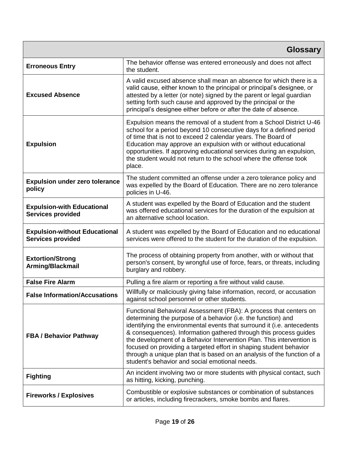| <b>Glossary</b>                                                  |                                                                                                                                                                                                                                                                                                                                                                                                                                                                                                                                                                |
|------------------------------------------------------------------|----------------------------------------------------------------------------------------------------------------------------------------------------------------------------------------------------------------------------------------------------------------------------------------------------------------------------------------------------------------------------------------------------------------------------------------------------------------------------------------------------------------------------------------------------------------|
| <b>Erroneous Entry</b>                                           | The behavior offense was entered erroneously and does not affect<br>the student.                                                                                                                                                                                                                                                                                                                                                                                                                                                                               |
| <b>Excused Absence</b>                                           | A valid excused absence shall mean an absence for which there is a<br>valid cause, either known to the principal or principal's designee, or<br>attested by a letter (or note) signed by the parent or legal guardian<br>setting forth such cause and approved by the principal or the<br>principal's designee either before or after the date of absence.                                                                                                                                                                                                     |
| <b>Expulsion</b>                                                 | Expulsion means the removal of a student from a School District U-46<br>school for a period beyond 10 consecutive days for a defined period<br>of time that is not to exceed 2 calendar years. The Board of<br>Education may approve an expulsion with or without educational<br>opportunities. If approving educational services during an expulsion,<br>the student would not return to the school where the offense took<br>place.                                                                                                                          |
| <b>Expulsion under zero tolerance</b><br>policy                  | The student committed an offense under a zero tolerance policy and<br>was expelled by the Board of Education. There are no zero tolerance<br>policies in U-46.                                                                                                                                                                                                                                                                                                                                                                                                 |
| <b>Expulsion-with Educational</b><br><b>Services provided</b>    | A student was expelled by the Board of Education and the student<br>was offered educational services for the duration of the expulsion at<br>an alternative school location.                                                                                                                                                                                                                                                                                                                                                                                   |
| <b>Expulsion-without Educational</b><br><b>Services provided</b> | A student was expelled by the Board of Education and no educational<br>services were offered to the student for the duration of the expulsion.                                                                                                                                                                                                                                                                                                                                                                                                                 |
| <b>Extortion/Strong</b><br>Arming/Blackmail                      | The process of obtaining property from another, with or without that<br>person's consent, by wrongful use of force, fears, or threats, including<br>burglary and robbery.                                                                                                                                                                                                                                                                                                                                                                                      |
| <b>False Fire Alarm</b>                                          | Pulling a fire alarm or reporting a fire without valid cause.                                                                                                                                                                                                                                                                                                                                                                                                                                                                                                  |
| <b>False Information/Accusations</b>                             | Willfully or maliciously giving false information, record, or accusation<br>against school personnel or other students.                                                                                                                                                                                                                                                                                                                                                                                                                                        |
| <b>FBA / Behavior Pathway</b>                                    | Functional Behavioral Assessment (FBA): A process that centers on<br>determining the purpose of a behavior (i.e. the function) and<br>identifying the environmental events that surround it (i.e. antecedents<br>& consequences). Information gathered through this process guides<br>the development of a Behavior Intervention Plan. This intervention is<br>focused on providing a targeted effort in shaping student behavior<br>through a unique plan that is based on an analysis of the function of a<br>student's behavior and social emotional needs. |
| <b>Fighting</b>                                                  | An incident involving two or more students with physical contact, such<br>as hitting, kicking, punching.                                                                                                                                                                                                                                                                                                                                                                                                                                                       |
| <b>Fireworks / Explosives</b>                                    | Combustible or explosive substances or combination of substances<br>or articles, including firecrackers, smoke bombs and flares.                                                                                                                                                                                                                                                                                                                                                                                                                               |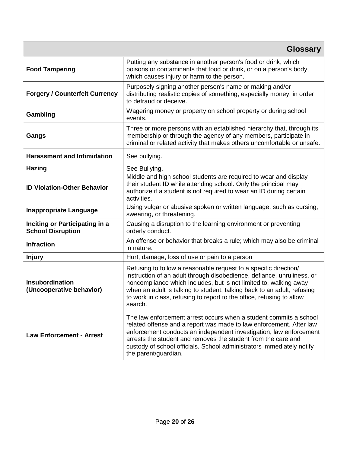| <b>Glossary</b>                                            |                                                                                                                                                                                                                                                                                                                                                                                  |
|------------------------------------------------------------|----------------------------------------------------------------------------------------------------------------------------------------------------------------------------------------------------------------------------------------------------------------------------------------------------------------------------------------------------------------------------------|
| <b>Food Tampering</b>                                      | Putting any substance in another person's food or drink, which<br>poisons or contaminants that food or drink, or on a person's body,<br>which causes injury or harm to the person.                                                                                                                                                                                               |
| <b>Forgery / Counterfeit Currency</b>                      | Purposely signing another person's name or making and/or<br>distributing realistic copies of something, especially money, in order<br>to defraud or deceive.                                                                                                                                                                                                                     |
| Gambling                                                   | Wagering money or property on school property or during school<br>events.                                                                                                                                                                                                                                                                                                        |
| Gangs                                                      | Three or more persons with an established hierarchy that, through its<br>membership or through the agency of any members, participate in<br>criminal or related activity that makes others uncomfortable or unsafe.                                                                                                                                                              |
| <b>Harassment and Intimidation</b>                         | See bullying.                                                                                                                                                                                                                                                                                                                                                                    |
| <b>Hazing</b>                                              | See Bullying.                                                                                                                                                                                                                                                                                                                                                                    |
| <b>ID Violation-Other Behavior</b>                         | Middle and high school students are required to wear and display<br>their student ID while attending school. Only the principal may<br>authorize if a student is not required to wear an ID during certain<br>activities.                                                                                                                                                        |
| <b>Inappropriate Language</b>                              | Using vulgar or abusive spoken or written language, such as cursing,<br>swearing, or threatening.                                                                                                                                                                                                                                                                                |
| Inciting or Participating in a<br><b>School Disruption</b> | Causing a disruption to the learning environment or preventing<br>orderly conduct.                                                                                                                                                                                                                                                                                               |
| <b>Infraction</b>                                          | An offense or behavior that breaks a rule; which may also be criminal<br>in nature.                                                                                                                                                                                                                                                                                              |
| <b>Injury</b>                                              | Hurt, damage, loss of use or pain to a person                                                                                                                                                                                                                                                                                                                                    |
| Insubordination<br>(Uncooperative behavior)                | Refusing to follow a reasonable request to a specific direction/<br>instruction of an adult through disobedience, defiance, unruliness, or<br>noncompliance which includes, but is not limited to, walking away<br>when an adult is talking to student, talking back to an adult, refusing<br>to work in class, refusing to report to the office, refusing to allow<br>search.   |
| <b>Law Enforcement - Arrest</b>                            | The law enforcement arrest occurs when a student commits a school<br>related offense and a report was made to law enforcement. After law<br>enforcement conducts an independent investigation, law enforcement<br>arrests the student and removes the student from the care and<br>custody of school officials. School administrators immediately notify<br>the parent/guardian. |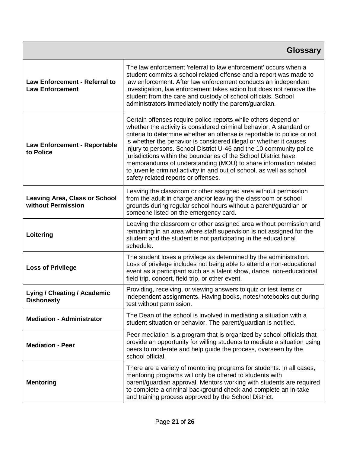|                                                            | <b>Glossary</b>                                                                                                                                                                                                                                                                                                                                                                                                                                                                                                                                                                                                     |
|------------------------------------------------------------|---------------------------------------------------------------------------------------------------------------------------------------------------------------------------------------------------------------------------------------------------------------------------------------------------------------------------------------------------------------------------------------------------------------------------------------------------------------------------------------------------------------------------------------------------------------------------------------------------------------------|
| Law Enforcement - Referral to<br><b>Law Enforcement</b>    | The law enforcement 'referral to law enforcement' occurs when a<br>student commits a school related offense and a report was made to<br>law enforcement. After law enforcement conducts an independent<br>investigation, law enforcement takes action but does not remove the<br>student from the care and custody of school officials. School<br>administrators immediately notify the parent/guardian.                                                                                                                                                                                                            |
| <b>Law Enforcement - Reportable</b><br>to Police           | Certain offenses require police reports while others depend on<br>whether the activity is considered criminal behavior. A standard or<br>criteria to determine whether an offense is reportable to police or not<br>is whether the behavior is considered illegal or whether it causes<br>injury to persons. School District U-46 and the 10 community police<br>jurisdictions within the boundaries of the School District have<br>memorandums of understanding (MOU) to share information related<br>to juvenile criminal activity in and out of school, as well as school<br>safety related reports or offenses. |
| <b>Leaving Area, Class or School</b><br>without Permission | Leaving the classroom or other assigned area without permission<br>from the adult in charge and/or leaving the classroom or school<br>grounds during regular school hours without a parent/guardian or<br>someone listed on the emergency card.                                                                                                                                                                                                                                                                                                                                                                     |
| Loitering                                                  | Leaving the classroom or other assigned area without permission and<br>remaining in an area where staff supervision is not assigned for the<br>student and the student is not participating in the educational<br>schedule.                                                                                                                                                                                                                                                                                                                                                                                         |
| <b>Loss of Privilege</b>                                   | The student loses a privilege as determined by the administration.<br>Loss of privilege includes not being able to attend a non-educational<br>event as a participant such as a talent show, dance, non-educational<br>field trip, concert, field trip, or other event.                                                                                                                                                                                                                                                                                                                                             |
| Lying / Cheating / Academic<br><b>Dishonesty</b>           | Providing, receiving, or viewing answers to quiz or test items or<br>independent assignments. Having books, notes/notebooks out during<br>test without permission.                                                                                                                                                                                                                                                                                                                                                                                                                                                  |
| <b>Mediation - Administrator</b>                           | The Dean of the school is involved in mediating a situation with a<br>student situation or behavior. The parent/guardian is notified.                                                                                                                                                                                                                                                                                                                                                                                                                                                                               |
| <b>Mediation - Peer</b>                                    | Peer mediation is a program that is organized by school officials that<br>provide an opportunity for willing students to mediate a situation using<br>peers to moderate and help guide the process, overseen by the<br>school official.                                                                                                                                                                                                                                                                                                                                                                             |
| <b>Mentoring</b>                                           | There are a variety of mentoring programs for students. In all cases,<br>mentoring programs will only be offered to students with<br>parent/guardian approval. Mentors working with students are required<br>to complete a criminal background check and complete an in-take<br>and training process approved by the School District.                                                                                                                                                                                                                                                                               |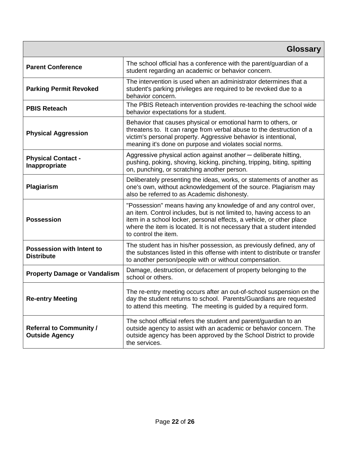|                                                         | <b>Glossary</b>                                                                                                                                                                                                                                                                                                     |
|---------------------------------------------------------|---------------------------------------------------------------------------------------------------------------------------------------------------------------------------------------------------------------------------------------------------------------------------------------------------------------------|
| <b>Parent Conference</b>                                | The school official has a conference with the parent/guardian of a<br>student regarding an academic or behavior concern.                                                                                                                                                                                            |
| <b>Parking Permit Revoked</b>                           | The intervention is used when an administrator determines that a<br>student's parking privileges are required to be revoked due to a<br>behavior concern.                                                                                                                                                           |
| <b>PBIS Reteach</b>                                     | The PBIS Reteach intervention provides re-teaching the school wide<br>behavior expectations for a student.                                                                                                                                                                                                          |
| <b>Physical Aggression</b>                              | Behavior that causes physical or emotional harm to others, or<br>threatens to. It can range from verbal abuse to the destruction of a<br>victim's personal property. Aggressive behavior is intentional,<br>meaning it's done on purpose and violates social norms.                                                 |
| <b>Physical Contact -</b><br>Inappropriate              | Aggressive physical action against another – deliberate hitting,<br>pushing, poking, shoving, kicking, pinching, tripping, biting, spitting<br>on, punching, or scratching another person.                                                                                                                          |
| Plagiarism                                              | Deliberately presenting the ideas, works, or statements of another as<br>one's own, without acknowledgement of the source. Plagiarism may<br>also be referred to as Academic dishonesty.                                                                                                                            |
| <b>Possession</b>                                       | "Possession" means having any knowledge of and any control over,<br>an item. Control includes, but is not limited to, having access to an<br>item in a school locker, personal effects, a vehicle, or other place<br>where the item is located. It is not necessary that a student intended<br>to control the item. |
| <b>Possession with Intent to</b><br><b>Distribute</b>   | The student has in his/her possession, as previously defined, any of<br>the substances listed in this offense with intent to distribute or transfer<br>to another person/people with or without compensation.                                                                                                       |
| <b>Property Damage or Vandalism</b>                     | Damage, destruction, or defacement of property belonging to the<br>school or others.                                                                                                                                                                                                                                |
| <b>Re-entry Meeting</b>                                 | The re-entry meeting occurs after an out-of-school suspension on the<br>day the student returns to school. Parents/Guardians are requested<br>to attend this meeting. The meeting is guided by a required form.                                                                                                     |
| <b>Referral to Community /</b><br><b>Outside Agency</b> | The school official refers the student and parent/guardian to an<br>outside agency to assist with an academic or behavior concern. The<br>outside agency has been approved by the School District to provide<br>the services.                                                                                       |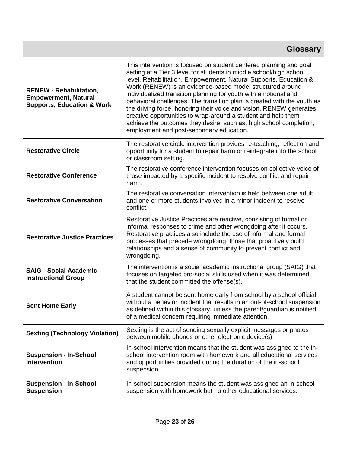| <b>Glossary</b>                                                                                        |                                                                                                                                                                                                                                                                                                                                                                                                                                                                                                                                                                                                                                                                                     |
|--------------------------------------------------------------------------------------------------------|-------------------------------------------------------------------------------------------------------------------------------------------------------------------------------------------------------------------------------------------------------------------------------------------------------------------------------------------------------------------------------------------------------------------------------------------------------------------------------------------------------------------------------------------------------------------------------------------------------------------------------------------------------------------------------------|
| <b>RENEW - Rehabilitation,</b><br><b>Empowerment, Natural</b><br><b>Supports, Education &amp; Work</b> | This intervention is focused on student centered planning and goal<br>setting at a Tier 3 level for students in middle school/high school<br>level. Rehabilitation, Empowerment, Natural Supports, Education &<br>Work (RENEW) is an evidence-based model structured around<br>individualized transition planning for youth with emotional and<br>behavioral challenges. The transition plan is created with the youth as<br>the driving force, honoring their voice and vision. RENEW generates<br>creative opportunities to wrap-around a student and help them<br>achieve the outcomes they desire, such as, high school completion,<br>employment and post-secondary education. |
| <b>Restorative Circle</b>                                                                              | The restorative circle intervention provides re-teaching, reflection and<br>opportunity for a student to repair harm or reintegrate into the school<br>or classroom setting.                                                                                                                                                                                                                                                                                                                                                                                                                                                                                                        |
| <b>Restorative Conference</b>                                                                          | The restorative conference intervention focuses on collective voice of<br>those impacted by a specific incident to resolve conflict and repair<br>harm.                                                                                                                                                                                                                                                                                                                                                                                                                                                                                                                             |
| <b>Restorative Conversation</b>                                                                        | The restorative conversation intervention is held between one adult<br>and one or more students involved in a minor incident to resolve<br>conflict.                                                                                                                                                                                                                                                                                                                                                                                                                                                                                                                                |
| <b>Restorative Justice Practices</b>                                                                   | Restorative Justice Practices are reactive, consisting of formal or<br>informal responses to crime and other wrongdoing after it occurs.<br>Restorative practices also include the use of informal and formal<br>processes that precede wrongdoing: those that proactively build<br>relationships and a sense of community to prevent conflict and<br>wrongdoing.                                                                                                                                                                                                                                                                                                                   |
| <b>SAIG - Social Academic</b><br><b>Instructional Group</b>                                            | The intervention is a social academic instructional group (SAIG) that<br>focuses on targeted pro-social skills used when it was determined<br>that the student committed the offense(s).                                                                                                                                                                                                                                                                                                                                                                                                                                                                                            |
| <b>Sent Home Early</b>                                                                                 | A student cannot be sent home early from school by a school official<br>without a behavior incident that results in an out-of-school suspension<br>as defined within this glossary, unless the parent/guardian is notified<br>of a medical concern requiring immediate attention.                                                                                                                                                                                                                                                                                                                                                                                                   |
| <b>Sexting (Technology Violation)</b>                                                                  | Sexting is the act of sending sexually explicit messages or photos<br>between mobile phones or other electronic device(s).                                                                                                                                                                                                                                                                                                                                                                                                                                                                                                                                                          |
| <b>Suspension - In-School</b><br><b>Intervention</b>                                                   | In-school intervention means that the student was assigned to the in-<br>school intervention room with homework and all educational services<br>and opportunities provided during the duration of the in-school<br>suspension.                                                                                                                                                                                                                                                                                                                                                                                                                                                      |
| <b>Suspension - In-School</b><br><b>Suspension</b>                                                     | In-school suspension means the student was assigned an in-school<br>suspension with homework but no other educational services.                                                                                                                                                                                                                                                                                                                                                                                                                                                                                                                                                     |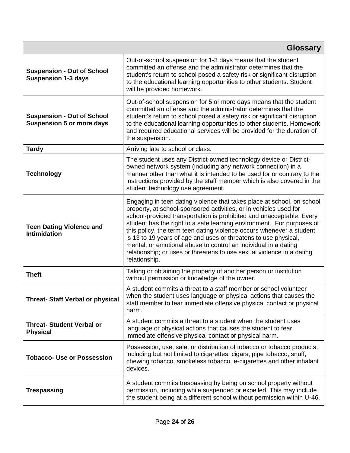| <b>Glossary</b>                                                       |                                                                                                                                                                                                                                                                                                                                                                                                                                                                                                                                                                                                      |
|-----------------------------------------------------------------------|------------------------------------------------------------------------------------------------------------------------------------------------------------------------------------------------------------------------------------------------------------------------------------------------------------------------------------------------------------------------------------------------------------------------------------------------------------------------------------------------------------------------------------------------------------------------------------------------------|
| <b>Suspension - Out of School</b><br><b>Suspension 1-3 days</b>       | Out-of-school suspension for 1-3 days means that the student<br>committed an offense and the administrator determines that the<br>student's return to school posed a safety risk or significant disruption<br>to the educational learning opportunities to other students. Student<br>will be provided homework.                                                                                                                                                                                                                                                                                     |
| <b>Suspension - Out of School</b><br><b>Suspension 5 or more days</b> | Out-of-school suspension for 5 or more days means that the student<br>committed an offense and the administrator determines that the<br>student's return to school posed a safety risk or significant disruption<br>to the educational learning opportunities to other students. Homework<br>and required educational services will be provided for the duration of<br>the suspension.                                                                                                                                                                                                               |
| <b>Tardy</b>                                                          | Arriving late to school or class.                                                                                                                                                                                                                                                                                                                                                                                                                                                                                                                                                                    |
| <b>Technology</b>                                                     | The student uses any District-owned technology device or District-<br>owned network system (including any network connection) in a<br>manner other than what it is intended to be used for or contrary to the<br>instructions provided by the staff member which is also covered in the<br>student technology use agreement.                                                                                                                                                                                                                                                                         |
| <b>Teen Dating Violence and</b><br><b>Intimidation</b>                | Engaging in teen dating violence that takes place at school, on school<br>property, at school-sponsored activities, or in vehicles used for<br>school-provided transportation is prohibited and unacceptable. Every<br>student has the right to a safe learning environment. For purposes of<br>this policy, the term teen dating violence occurs whenever a student<br>is 13 to 19 years of age and uses or threatens to use physical,<br>mental, or emotional abuse to control an individual in a dating<br>relationship; or uses or threatens to use sexual violence in a dating<br>relationship. |
| <b>Theft</b>                                                          | Taking or obtaining the property of another person or institution<br>without permission or knowledge of the owner.                                                                                                                                                                                                                                                                                                                                                                                                                                                                                   |
| <b>Threat- Staff Verbal or physical</b>                               | A student commits a threat to a staff member or school volunteer<br>when the student uses language or physical actions that causes the<br>staff member to fear immediate offensive physical contact or physical<br>harm.                                                                                                                                                                                                                                                                                                                                                                             |
| <b>Threat- Student Verbal or</b><br><b>Physical</b>                   | A student commits a threat to a student when the student uses<br>language or physical actions that causes the student to fear<br>immediate offensive physical contact or physical harm.                                                                                                                                                                                                                                                                                                                                                                                                              |
| <b>Tobacco- Use or Possession</b>                                     | Possession, use, sale, or distribution of tobacco or tobacco products,<br>including but not limited to cigarettes, cigars, pipe tobacco, snuff,<br>chewing tobacco, smokeless tobacco, e-cigarettes and other inhalant<br>devices.                                                                                                                                                                                                                                                                                                                                                                   |
| <b>Trespassing</b>                                                    | A student commits trespassing by being on school property without<br>permission, including while suspended or expelled. This may include<br>the student being at a different school without permission within U-46.                                                                                                                                                                                                                                                                                                                                                                                  |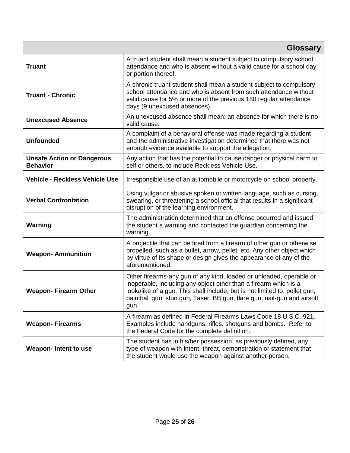|                                                      | <b>Glossary</b>                                                                                                                                                                                                                                                                                          |
|------------------------------------------------------|----------------------------------------------------------------------------------------------------------------------------------------------------------------------------------------------------------------------------------------------------------------------------------------------------------|
| <b>Truant</b>                                        | A truant student shall mean a student subject to compulsory school<br>attendance and who is absent without a valid cause for a school day<br>or portion thereof.                                                                                                                                         |
| <b>Truant - Chronic</b>                              | A chronic truant student shall mean a student subject to compulsory<br>school attendance and who is absent from such attendance without<br>valid cause for 5% or more of the previous 180 regular attendance<br>days (9 unexcused absences).                                                             |
| <b>Unexcused Absence</b>                             | An unexcused absence shall mean: an absence for which there is no<br>valid cause.                                                                                                                                                                                                                        |
| <b>Unfounded</b>                                     | A complaint of a behavioral offense was made regarding a student<br>and the administrative investigation determined that there was not<br>enough evidence available to support the allegation.                                                                                                           |
| <b>Unsafe Action or Dangerous</b><br><b>Behavior</b> | Any action that has the potential to cause danger or physical harm to<br>self or others, to include Reckless Vehicle Use.                                                                                                                                                                                |
| <b>Vehicle - Reckless Vehicle Use</b>                | Irresponsible use of an automobile or motorcycle on school property.                                                                                                                                                                                                                                     |
| <b>Verbal Confrontation</b>                          | Using vulgar or abusive spoken or written language, such as cursing,<br>swearing, or threatening a school official that results in a significant<br>disruption of the learning environment.                                                                                                              |
| Warning                                              | The administration determined that an offense occurred and issued<br>the student a warning and contacted the guardian concerning the<br>warning.                                                                                                                                                         |
| <b>Weapon-Ammunition</b>                             | A projectile that can be fired from a firearm of other gun or otherwise<br>propelled, such as a bullet, arrow, pellet, etc. Any other object which<br>by virtue of its shape or design gives the appearance of any of the<br>aforementioned.                                                             |
| <b>Weapon-Firearm Other</b>                          | Other firearms-any gun of any kind, loaded or unloaded, operable or<br>inoperable, including any object other than a firearm which is a<br>lookalike of a gun. This shall include, but is not limited to, pellet gun,<br>paintball gun, stun gun, Taser, BB gun, flare gun, nail-gun and airsoft<br>gun. |
| <b>Weapon-Firearms</b>                               | A firearm as defined in Federal Firearms Laws Code 18 U.S.C. 921.<br>Examples include handguns, rifles, shotguns and bombs. Refer to<br>the Federal Code for the complete definition.                                                                                                                    |
| <b>Weapon-Intent to use</b>                          | The student has in his/her possession, as previously defined, any<br>type of weapon with intent, threat, demonstration or statement that<br>the student would use the weapon against another person.                                                                                                     |